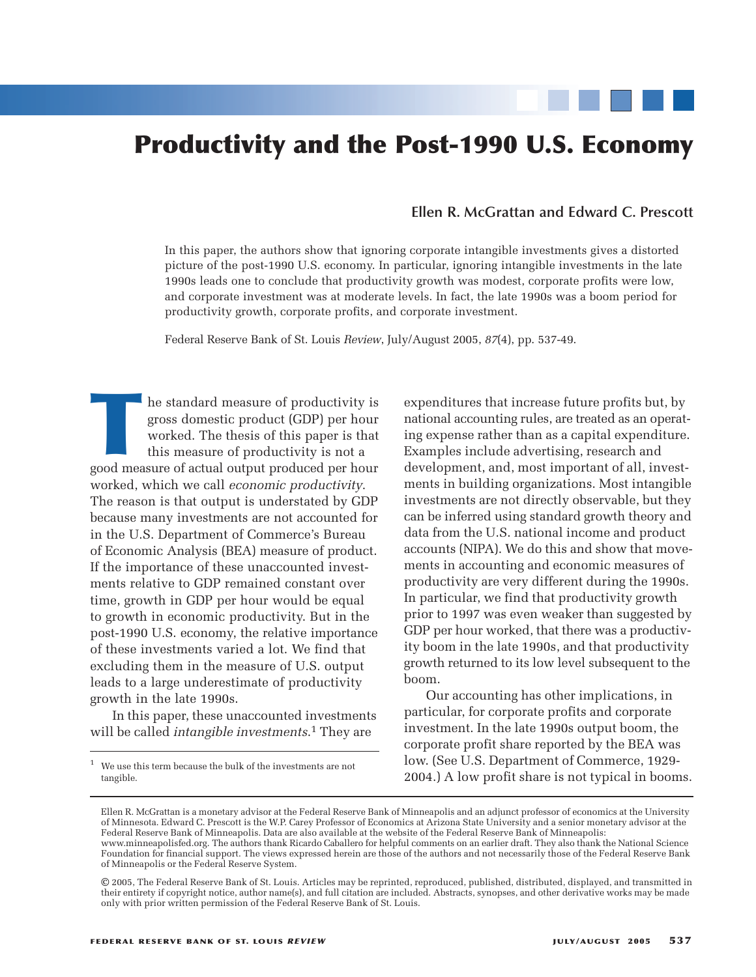# **Productivity and the Post-1990 U.S. Economy**

#### **Ellen R. McGrattan and Edward C. Prescott**

In this paper, the authors show that ignoring corporate intangible investments gives a distorted picture of the post-1990 U.S. economy. In particular, ignoring intangible investments in the late 1990s leads one to conclude that productivity growth was modest, corporate profits were low, and corporate investment was at moderate levels. In fact, the late 1990s was a boom period for productivity growth, corporate profits, and corporate investment.

Federal Reserve Bank of St. Louis *Review*, July/August 2005, *87*(4), pp. 537-49.

THE STANDARD MELTING THE SURVEY OF A SURVEY OF A SURVEY OF A SURVEY OF A SURVEY OF A SURVEY OF A SURVEY AND MOVED A SURVEY AND MOVED A SURVEY AND MOVED A SURVEY AND MOVED A SURVEY OF A SURVEY OF A SURVEY OF A SURVEY OF A S gross domestic product (GDP) per hour worked. The thesis of this paper is that this measure of productivity is not a worked, which we call *economic productivity*. The reason is that output is understated by GDP because many investments are not accounted for in the U.S. Department of Commerce's Bureau of Economic Analysis (BEA) measure of product. If the importance of these unaccounted investments relative to GDP remained constant over time, growth in GDP per hour would be equal to growth in economic productivity. But in the post-1990 U.S. economy, the relative importance of these investments varied a lot. We find that excluding them in the measure of U.S. output leads to a large underestimate of productivity growth in the late 1990s.

In this paper, these unaccounted investments will be called *intangible investments*. 1 They are

expenditures that increase future profits but, by national accounting rules, are treated as an operating expense rather than as a capital expenditure. Examples include advertising, research and development, and, most important of all, investments in building organizations. Most intangible investments are not directly observable, but they can be inferred using standard growth theory and data from the U.S. national income and product accounts (NIPA). We do this and show that movements in accounting and economic measures of productivity are very different during the 1990s. In particular, we find that productivity growth prior to 1997 was even weaker than suggested by GDP per hour worked, that there was a productivity boom in the late 1990s, and that productivity growth returned to its low level subsequent to the boom.

Our accounting has other implications, in particular, for corporate profits and corporate investment. In the late 1990s output boom, the corporate profit share reported by the BEA was low. (See U.S. Department of Commerce, 1929- 2004.) A low profit share is not typical in booms.

We use this term because the bulk of the investments are not tangible.

Ellen R. McGrattan is a monetary advisor at the Federal Reserve Bank of Minneapolis and an adjunct professor of economics at the University of Minnesota. Edward C. Prescott is the W.P. Carey Professor of Economics at Arizona State University and a senior monetary advisor at the Federal Reserve Bank of Minneapolis. Data are also available at the website of the Federal Reserve Bank of Minneapolis: www.minneapolisfed.org. The authors thank Ricardo Caballero for helpful comments on an earlier draft. They also thank the National Science Foundation for financial support. The views expressed herein are those of the authors and not necessarily those of the Federal Reserve Bank of Minneapolis or the Federal Reserve System.

<sup>©</sup> 2005, The Federal Reserve Bank of St. Louis. Articles may be reprinted, reproduced, published, distributed, displayed, and transmitted in their entirety if copyright notice, author name(s), and full citation are included. Abstracts, synopses, and other derivative works may be made only with prior written permission of the Federal Reserve Bank of St. Louis.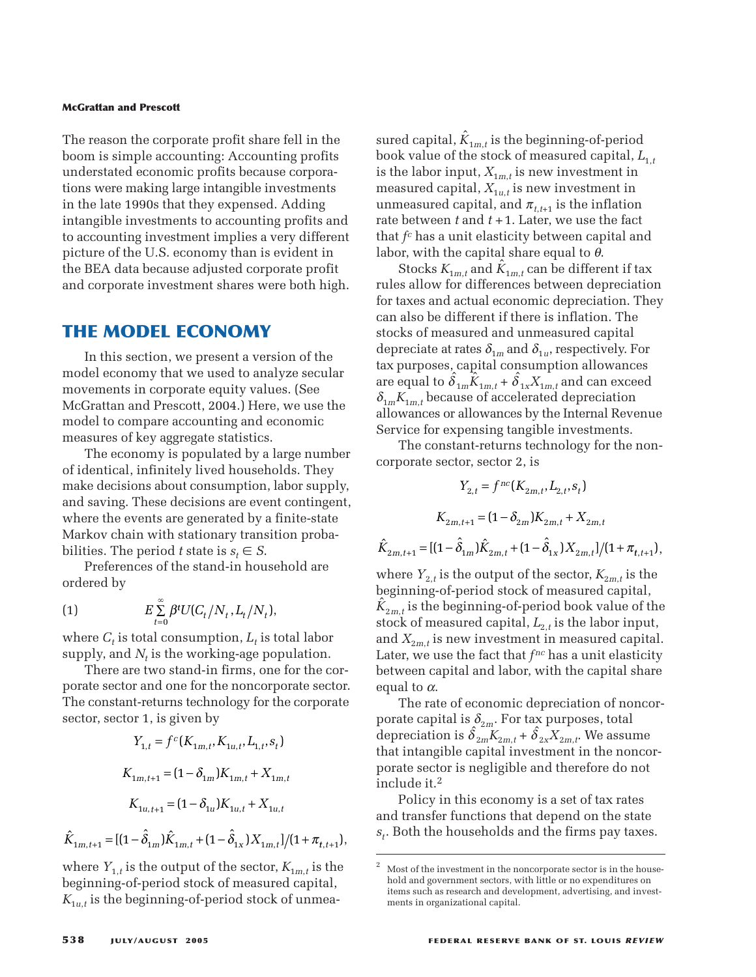The reason the corporate profit share fell in the boom is simple accounting: Accounting profits understated economic profits because corporations were making large intangible investments in the late 1990s that they expensed. Adding intangible investments to accounting profits and to accounting investment implies a very different picture of the U.S. economy than is evident in the BEA data because adjusted corporate profit and corporate investment shares were both high.

## **THE MODEL ECONOMY**

In this section, we present a version of the model economy that we used to analyze secular movements in corporate equity values. (See McGrattan and Prescott, 2004.) Here, we use the model to compare accounting and economic measures of key aggregate statistics.

The economy is populated by a large number of identical, infinitely lived households. They make decisions about consumption, labor supply, and saving. These decisions are event contingent, where the events are generated by a finite-state Markov chain with stationary transition probabilities. The period *t* state is  $s_t \in S$ . *These decisions are event*<br> *Y* are *R these decisions are event*<br> *Y t sate is*  $s_t \in S$ *.<br>
<i>E*  $\sum_{t=0}^{\infty} \beta^t U(C_t/N_t, L_t/N_t)$ ,<br> *E*  $\sum_{t=0}^{\infty} \beta^t U(C_t/N_t, L_t/N_t)$ ,<br> *E*  $\sum_{t=0}^{\infty} \beta^t U(C_t/N_t, L_t/N_t)$ ,<br> *E X*<sub>*t*</sub> *is therefore is are every the same generated by a*<br>*tith stationary trans*<br>*tiod t state is*  $s_t \in S$ .<br>*t* of the stand-in hou<br> $\sum_{t=0}^{\infty} \beta^t U(C_t/N_t, L_t/N_t)$ 

Preferences of the stand-in household are ordered by

(1) 
$$
E \sum_{t=0}^{\infty} \beta^t U(C_t/N_t, L_t/N_t),
$$

where  $C_t$  is total consumption,  $L_t$  is total labor supply, and  $N_t$  is the working-age population.

There are two stand-in firms, one for the corporate sector and one for the noncorporate sector. The constant-returns technology for the corporate sector, sector 1, is given by

Truncences of the stand-nH notation of the ordered by

\n(1) 
$$
E \sum_{t=0}^{\infty} \beta^t U(C_t/N_t, L_t/N_t),
$$

\nwhere *C\_t* is total consumption, *L\_t* is total labor

\nsupply, and *N\_t* is the working-age population. There are two stand-in firms, one for the correspondence

\nThe constant-returns technology for the corporate sector, sector 1, is given by

\n
$$
Y_{1,t} = f^c(K_{1m,t}, K_{1u,t}, L_{1,t}, s_t)
$$
\n
$$
K_{1m,t+1} = (1 - \delta_{1m})K_{1m,t} + X_{1m,t}
$$
\n
$$
K_{1u,t+1} = (1 - \delta_{1u})K_{1u,t} + X_{1u,t}
$$
\n
$$
\hat{K}_{1m,t+1} = [(1 - \hat{\delta}_{1m})\hat{K}_{1m,t} + (1 - \hat{\delta}_{1x})X_{1m,t}]/(1 + \pi_{t,t+1})
$$
\nwhere *Y\_{1,t}* is the output of the sector, *K\_{1m,t}* is the beginning of-period stock of measured capital, *K\_{1m,t+1}* is the beginning of a principal ideal, and *K\_{1m,t+2}* is the beginning of a principal ideal, and *K\_{1m,t+3}* is the original.

$$
\hat{K}_{1m,t+1} = [(1 - \hat{\delta}_{1m})\hat{K}_{1m,t} + (1 - \hat{\delta}_{1x})X_{1m,t}]/(1 + \pi_{t,t+1}),
$$

where  $Y_{1,t}$  is the output of the sector,  $K_{1m,t}$  is the beginning-of-period stock of measured capital,  $K_{1u,t}$  is the beginning-of-period stock of unmea-

sured capital,  $\hat{K}_{1m,t}$  is the beginning-of-period book value of the stock of measured capital,  $L_{1,t}$ is the labor input,  $X_{1m,t}$  is new investment in measured capital,  $X_{1u,t}$  is new investment in unmeasured capital, and  $\pi_{t,t+1}$  is the inflation rate between *t* and *t* +1. Later, we use the fact that *fc* has a unit elasticity between capital and labor, with the capital share equal to  $\theta$ .

Stocks  $K_{1m,t}$  and  $\hat{K}_{1m,t}$  can be different if tax rules allow for differences between depreciation for taxes and actual economic depreciation. They can also be different if there is inflation. The stocks of measured and unmeasured capital depreciate at rates  $\delta_{1m}$  and  $\delta_{1u}$ , respectively. For tax purposes, capital consumption allowances  $\frac{dE}{dt}$  are equal to  $\hat{\delta}_{1m}\tilde{K}_{1m,t} + \hat{\delta}_{1x}X_{1m,t}$  and can exceed  $\delta_{1m} K_{1m,t}$  because of accelerated depreciation allowances or allowances by the Internal Revenue Service for expensing tangible investments. rules allow for differences between depreciation<br>for taxes and actual economic depreciation. The<br>can also be different if there is inflation. The<br>stocks of measured and unmeasured capital<br>depreciate at rates  $\delta_{1m}$  and *K* Exerces and the set of  $\hat{\delta}_{1m}\hat{K}_{1m,t} + \hat{\delta}_{1x}X_{1m,t}$  and can because of accelerated deprections or allowances by the Internal rexpensing tangible investments in expensing tangible investments  $Y_{2,t} = f^{nc}(K_{2m,t}, L_{2,t$  $\lim_{t_m} \hat{K}_{1m,t} + \hat{\delta}_{1x} X_{1m,t}$  and<br>ise of accelerated depiallowances by the Internal<br>pensing tangible inves<br>ant-returns technology<br>or, sector 2, is<br> $Y_{2,t} = f^{nc}(K_{2m,t}, L_{2,t}, s_t)$ 

The constant-returns technology for the noncorporate sector, sector 2, is

$$
Y_{2,t} = f^{nc}(K_{2m,t}, L_{2,t}, s_t)
$$
  

$$
K_{2m,t+1} = (1 - \delta_{2m})K_{2m,t} + X_{2m,t}
$$
  

$$
\hat{K}_{2m,t+1} = [(1 - \hat{\delta}_{1m})\hat{K}_{2m,t} + (1 - \hat{\delta}_{1x})X_{2m,t}]/(1 + \pi_{t,t+1}),
$$

where  $Y_{2,t}$  is the output of the sector,  $K_{2m,t}$  is the beginning-of-period stock of measured capital,  $\widetilde{K}_{2m,t}$  is the beginning-of-period book value of the stock of measured capital,  $L_{2,t}$  is the labor input, and  $X_{2m,t}$  is new investment in measured capital. Later, we use the fact that  $f^{nc}$  has a unit elasticity between capital and labor, with the capital share equal to  $\alpha$ .

The rate of economic depreciation of noncorporate capital is  $\delta_{2m}$ . For tax purposes, total depreciation is  $\hat{\delta}_{2m}K_{2m,t} + \hat{\delta}_{2x}X_{2m,t}$ . We assume that intangible capital investment in the noncorporate sector is negligible and therefore do not include it.2

Policy in this economy is a set of tax rates and transfer functions that depend on the state *st*. Both the households and the firms pay taxes.

<sup>2</sup> Most of the investment in the noncorporate sector is in the household and government sectors, with little or no expenditures on items such as research and development, advertising, and investments in organizational capital.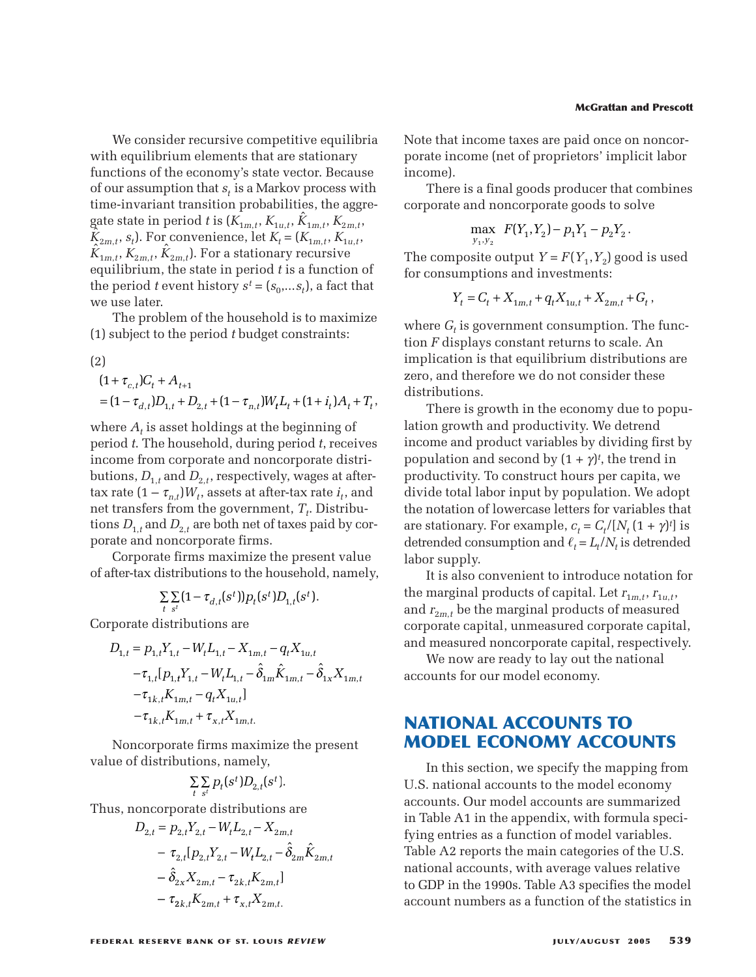We consider recursive competitive equilibria with equilibrium elements that are stationary functions of the economy's state vector. Because of our assumption that *st* is a Markov process with time-invariant transition probabilities, the aggregate state in period *t* is  $(K_{1m,t}, K_{1u,t}, \hat{K}_{1m,t}, K_{2m,t})$  $K_{2m,t}$ ,  $s_t$ ). For convenience, let  $K_t = (K_{1m,t}, K_{1u,t}, K_{1u,t})$  $K_{1m,t}$ ,  $K_{2m,t}$ ,  $\tilde{K}_{2m,t}$ ,  $\tilde{K}_{2m,t}$ ). For a stationary recursive equilibrium, the state in period *t* is a function of the period *t* event history  $s^t = (s_0, \ldots, s_t)$ , a fact that we use later. We consider recursive competitive<br>ith equilibrium elements that are sinctions of the economy's state vect<br>four assumption that  $s_t$  is a Markov p<br>me-invariant transition probabilitie<br>ite state in period t is  $(K_{1m,t}, K_{1u,t},$ We consider recursive con<br>h equilibrium elements that<br>ctions of the economy's stature assumption that  $s_t$  is a N.<br>e-invariant transition prob<br>e state in period t is  $(K_{1m,t},$ <br> $s_t$ ,  $s_t$ ). For convenience, let<br> $_{n,t}$ ,  $K_{2$ We consider recursi<br>
1 equilibrium eleme<br>
tions of the econom<br>
ur assumption that  $s_t$ <br>
2-invariant transition<br>
state in period t is (<br>  $t$ ,  $s_t$ ). For convenien<br>  $t$ ,  $K_{2m,t}$ ,  $\hat{K}_{2m,t}$ ). For a<br>
librium, the state in<br> der received the economic term of the economic strainer  $\hat{X}_{2m,t}$ ). The state of the period the period of the period  $A_{t+1}$ ctions of<br>
ur assump<br>
e-invarian<br>
e-invarian<br>
estate in p<br>
estate in p<br>
estate in p<br>
dibrium,<br>
period t e<br>
use later.<br>
The prob<br>
subject to<br>  $+\tau_{c,t})C_t$  +<br>  $(1-\tau_{d,t})D$ <br>
ere  $A_t$  is a for assumption that  $s_t$  is<br>me-invariant transition<br>the state in period t is (K<br> $_{2m,t}$ ,  $s_t$ ). For convenience<br> $_{1m,t}$ ,  $K_{2m,t}$ ,  $\hat{K}_{2m,t}$ ). For a s<br>quilibrium, the state in p<br>e period t event history<br>e use later.<br>The ssumption that  $s_t$  is a<br>variant transition p:<br>te in period t is  $(K_{1n})$ . For convenience,<br> $K_{2m,t}$ ,  $\hat{K}_{2m,t}$ ). For a sta<br>rium, the state in pe<br>iod t event history s<br>later.<br>Problem of the house to the period t by<br> $J_{t,t$ **conside**<br>quilibrium<br>ons of the<br>assumptic hassumptic<br>ate in per<br> $s_t$ ). For cc<br> $K_{2m,t}, \hat{K}_{2m}$ <br>prium, the<br>riod t ever<br>later.<br>e probler<br>ject to the<br>ject to the consider recursive consider recursive consider recursive consider<br>*definition* elements that  $s_t$  is a l<br>*definition* that  $s_t$  is a l<br>*definition* pro<br>*e* in period *t* is  $(K_{1m,t}$ . For convenience, le<br>*m*<sub>t</sub>,  $\hat{K}_{2m,t}$  $\begin{align*}\n\text{considering}\n\text{invariant}\n\text{in the right,}\n\text{in the right,}\n\text{in the right,}\n\text{in the right,}\n\text{in the right,}\n\text{in the right,}\n\text{in the right,}\n\text{in the right,}\n\text{in the right,}\n\text{in the right,}\n\text{in the right,}\n\text{in the right,}\n\text{in the right,}\n\text{in the right,}\n\text{in the right,}\n\text{in the right,}\n\text{in the right,}\n\text{in the right,}\n\text{in the right,}\n\text{in the right,}\n\text{in the right,}\n\text{in the right,}\n\$ sider recursive competitive equilibri<br>brium elements that are stationary<br>f the economy's state vector. Because<br>mption that  $s_t$  is a Markov process with<br>ant transition probabilities, the aggre<br>a period t is  $(K_{1m,t}, K_{1u,t}, \$ 

The problem of the household is to maximize (1) subject to the period *t* budget constraints:

$$
(2)
$$

$$
(1 + \tau_{c,t})C_t + A_{t+1}
$$
  
=  $(1 - \tau_{d,t})D_{1,t} + D_{2,t} + (1 - \tau_{n,t})W_t L_t + (1 + i_t)A_t + T_t,$ 

where  $A_t$  is asset holdings at the beginning of period *t*. The household, during period *t*, receives income from corporate and noncorporate distributions,  $D_{1,t}$  and  $D_{2,t}$ , respectively, wages at aftertax rate  $(1 - \tau_{n,t})W_t$ , assets at after-tax rate  $i_t$ , and net transfers from the government,  $T_t$ . Distributions  $D_{1,t}$  and  $D_{2,t}$  are both net of taxes paid by corporate and noncorporate firms.  $(1 - \tau_{d,t} D_{1,t} + D_{2,t} + (1 - \tau_{n,t} D_{t}L_{t} + \epsilon_{t})$ <br>ere  $A_{t}$  is asset holdings at the beg<br>iod *t*. The household, during peri<br>ome from corporate and noncorp<br>ions,  $D_{1,t}$  and  $D_{2,t}$ , respectively, v<br>rate  $(1 - \tau_{n,t})W_{t}$ , as  $\mathcal{L}_{d,t}$ ,  $\mathcal{L}_{2,t}$  + (1  $\mathcal{L}_{n,t}$ ,  $\mathcal{L}_{n,t}$  + (1  $\mathcal{L}_{n,t}$ ),  $\mathcal{L}_{n,t}$  is asset holdings at the begind  $t$ . The household, during period me from corporate and noncorpor ons,  $D_{1,t}$  and  $D_{2,t}$ , respectivel  $\begin{aligned} \text{The } \text{h} \text{ is the } \text{h} \text{ is the } \text{h} \text{ is the } \text{h} \text{ is the } \text{h} \text{ is the } \text{h} \text{ is the } \text{h} \text{ is the } \text{h} \text{ is the } \text{h} \text{ is the } \text{h} \text{ is the } \text{h} \text{ is the } \text{h} \text{ is the } \text{h} \text{ is the } \text{h} \text{ is the } \text{h} \text{ is the } \text{h} \text{ is the } \text{h} \text{ is the } \text{h} \text{ is the } \text{h} \text{ is the } \$  $\mathcal{L}_{d,t}$ ,  $\mathcal{L}_{1,t}$ ,  $\mathcal{L}_{2,t}$ ,  $\mathcal{L}_{1,t}$ ,  $\mathcal{L}_{n,t}$ ,  $\mathcal{L}_{t+1}$ ,  $\mathcal{L}_{1,t}$ <br>  $\mathcal{L}_{2,t}$ , is asset holdings at the begind  $t$ . The household, during period<br>  $\mathcal{L}_{1,t}$  and  $D_{2,t}$ , respectively, was<br>
te  $($  $\lim_{t\to t} \lim_{n\to t} \frac{1}{\tau_{n,n}}$ <br>  $\tau_{n,r}$  fr nd *L*<br>  $\lim_{t\to t} \frac{1}{s}$ <br>  $\lim_{t\to t} \sum_{t} \sum_{s}$ if the model and non<br>  $\sum_{i=1}^{n} D_{1,t}$  and  $D_{2,t}$ , respective<br>  $(1 - \tau_{n,t})W_t$ , assets at after<br>
sefers from the governme<br>  $\tau_{1,t}$  and  $D_{2,t}$  are both net of<br>
and noncorporate firms.<br>
porate firms maximize the hand star *t<sub>t</sub>* is asset notaings at the segmining of<br>*t*. The household, during period *t*, receiven<br>from corporate and noncorporate distr<br>*n*,  $D_{1,t}$  and  $D_{2,t}$ , respectively, wages at aft<br> $(1 - \tau_{n,t})W_t$ , assets at after-tax ra *kt m* et notaings at the beginning<br>
busehold, during period *t*, reapporate and noncorporate d<br>
d  $D_{2,t}$ , respectively, wages at<br>  $JW_t$ , assets at after-tax rate  $i_t$ <br>
om the government,  $T_t$ . Distinguing<br>  $T_{2,t}$  are both net isehold, during period t, rec<br>
sehold, during period t, rec<br>
porate and noncorporate di<br>  $D_{2,t}$ , respectively, wages at  $W_t$ , assets at after-tax rate  $i_t$ ,<br>
in the government,  $T_t$ . District<br>
t are both net of taxes pai 1 1 sehold, during period *t*, receively, sehold, during period *t*, receively, vages at after-<br>to porate and noncorporate dist  $D_{2,t}$ , respectively, wages at after-<br> $D_{2,t}$ , respectively, wages at after-<br>tax rate  $i_t$ , and From corporate an<br>  $D_{1,t}$  and  $D_{2,t}$ , resp<br>  $1 - \tau_{n,t}$ ) $W_t$ , asset:<br>
fers from the gov<br>  $\mu$  and  $D_{2,t}$  are both<br>
and noncorporate<br>
orate firms maxi<br>  $\sum_{t} \sum_{s'} (1 - \tau_{d,t}(s^t$ <br>  $\sum_{t} \sum_{s'} (1 - \tau_{d,t}(s^t$ <br>  $\sum_{t} \sum_{s'} (1 - \tau$ porate an<br>  $D_{2,t}$ , resp<br>  $W_t$ , assets<br>
a the gov<br>
are both<br>
proporate f<br>
ms maxin<br>
utions to<br>  $t - \tau_{d,t}(s^t)$ <br>
utions ar<br>  $W_t L_{1,t} - N_t L_{1,t}$ <br>  $\vdots$ ,  $t - q_t X_{1u,t}$  $\alpha$  asset<br>*q*  $\alpha$  *x* asset<br>asset as equations<br> $\tau_{d,t}$  (ions<br> $\tau_{d,t}$  ions<br> $\mu_{1,t}$  -  $W_t$ the contractional comportant component and noncorport<br>  $\tau_{n,t}$ , and  $D_{2,t}$ , respectively, wage  $\tau_{n,t}$ ,  $W_t$ , assets at after-tax range from the government,  $T_t$ . If  $D_{2,t}$  are both net of taxes proncorporate firms.<br>

Corporate firms maximize the present value of after-tax distributions to the household, namely,

$$
\sum_{t} \sum_{s^t} (1 - \tau_{d,t}(s^t)) p_t(s^t) D_{1,t}(s^t).
$$

Corporate distributions are

ions, 
$$
D_{1,t}
$$
 and  $D_{2,t}$ , respectively, wages at after  
rate  $(1 - \tau_{n,t})W_t$ , assets at after-tax rate  $i_t$ , an  
transfers from the government,  $T_t$ . Distribution  
ns  $D_{1,t}$  and  $D_{2,t}$  are both net of taxes paid by cc  
rate and noncorporate firms.  
Corporate firms maximize the present value  
after-tax distributions to the household, name  

$$
\sum_{t} \sum_{s'} (1 - \tau_{d,t}(s^t)) p_t(s^t) D_{1,t}(s^t).
$$
  
rporate distributions are  

$$
D_{1,t} = p_{1,t} Y_{1,t} - W_t L_{1,t} - X_{1m,t} - q_t X_{1u,t}
$$

$$
-\tau_{1,t} [p_{1,t} Y_{1,t} - W_t L_{1,t} - \delta_{1m} \hat{K}_{1m,t} - \delta_{1x} X_{1m,t}
$$

$$
-\tau_{1k,t} K_{1m,t} + q_t X_{1u,t}]
$$
Notocorporate firms maximize the present  
ue of distributions, namely,  

$$
\sum_{t} \sum_{s'} p_t(s^t) D_{2,t}(s^t).
$$
  
us, noncorporate distributions are  

$$
D_{2,t} = p_{2,t} Y_{2,t} - W_t L_{2,t} - X_{2m,t}
$$

$$
-\tau_{2,t} [p_{2,t} Y_{2,t} - W_t L_{2,t} - \delta_{2m} \hat{K}_{2m,t}
$$

Noncorporate firms maximize the present value of distributions, namely,

$$
\sum_{t} \sum_{s^t} p_t(s^t) D_{2,t}(s^t).
$$

Thus, noncorporate distributions are

$$
-\tau_{1,t}[p_{1,t}Y_{1,t} - W_t L_{1,t} - \hat{\delta}_{1m}\hat{K}_{1m,t} - \hat{\delta}_{1x} \n-\tau_{1k,t}K_{1m,t} - q_t X_{1u,t}] \n-\tau_{1k,t}K_{1m,t} + \tau_{x,t}X_{1m,t}.
$$
  
\nincorporate firms maximize the pre  
\nof distributions, namely,  
\n
$$
\sum_{t} p_t(s^t)D_{2,t}(s^t).
$$
  
\nnoncorporate distributions are  
\n
$$
D_{2,t} = p_{2,t}Y_{2,t} - W_t L_{2,t} - X_{2m,t} \n-\tau_{2,t}[p_{2,t}Y_{2,t} - W_t L_{2,t} - \hat{\delta}_{2m}\hat{K}_{2m,t} \n-\hat{\delta}_{2x}X_{2m,t} - \tau_{2k,t}K_{2m,t}] \n-\tau_{2k,t}K_{2m,t} + \tau_{x,t}X_{2m,t}.
$$

#### **McGrattan and Prescott**

Note that income taxes are paid once on noncorporate income (net of proprietors' implicit labor income). *Y C X qX X G t t mt t ut mt t* =+ + + + 1 12 , ,, *y y* **McGratta**<br>
some taxes are paid once<br>
the (net of proprietors' im<br>
a final goods producer the<br>
d noncorporate goods to<br>
tax  $F(Y_1, Y_2) - p_1 Y_1 - p_2 Y_2$ 1 2 11 22 − −

There is a final goods producer that combines corporate and noncorporate goods to solve

$$
\max_{y_1, y_2} F(Y_1, Y_2) - p_1 Y_1 - p_2 Y_2.
$$

The composite output  $Y = F(Y_1, Y_2)$  good is used for consumptions and investments:

$$
Y_t = C_t + X_{1m,t} + q_t X_{1u,t} + X_{2m,t} + G_t,
$$

where  $G_t$  is government consumption. The function *F* displays constant returns to scale. An implication is that equilibrium distributions are zero, and therefore we do not consider these distributions.

There is growth in the economy due to population growth and productivity. We detrend income and product variables by dividing first by population and second by  $(1 + \gamma)^t$ , the trend in productivity. To construct hours per capita, we divide total labor input by population. We adopt the notation of lowercase letters for variables that are stationary. For example,  $c_t = C_t/[N_t(1 + \gamma)^t]$  is detrended consumption and  $\ell_t = L_t/N_t$  is detrended labor supply.

It is also convenient to introduce notation for the marginal products of capital. Let  $r_{1m,t}$ ,  $r_{1u,t}$ , and  $r_{2m,t}$  be the marginal products of measured corporate capital, unmeasured corporate capital, and measured noncorporate capital, respectively.

We now are ready to lay out the national accounts for our model economy.

# **NATIONAL ACCOUNTS TO MODEL ECONOMY ACCOUNTS**

In this section, we specify the mapping from U.S. national accounts to the model economy accounts. Our model accounts are summarized in Table A1 in the appendix, with formula specifying entries as a function of model variables. Table A2 reports the main categories of the U.S. national accounts, with average values relative to GDP in the 1990s. Table A3 specifies the model account numbers as a function of the statistics in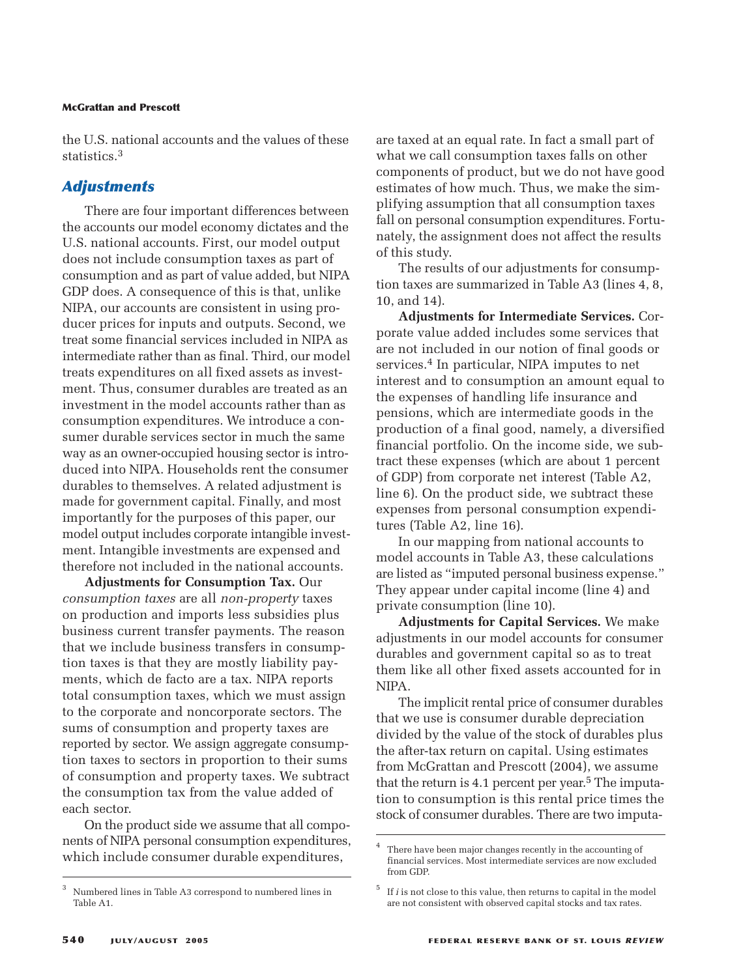the U.S. national accounts and the values of these statistics.3

#### *Adjustments*

There are four important differences between the accounts our model economy dictates and the U.S. national accounts. First, our model output does not include consumption taxes as part of consumption and as part of value added, but NIPA GDP does. A consequence of this is that, unlike NIPA, our accounts are consistent in using producer prices for inputs and outputs. Second, we treat some financial services included in NIPA as intermediate rather than as final. Third, our model treats expenditures on all fixed assets as investment. Thus, consumer durables are treated as an investment in the model accounts rather than as consumption expenditures. We introduce a consumer durable services sector in much the same way as an owner-occupied housing sector is introduced into NIPA. Households rent the consumer durables to themselves. A related adjustment is made for government capital. Finally, and most importantly for the purposes of this paper, our model output includes corporate intangible investment. Intangible investments are expensed and therefore not included in the national accounts.

**Adjustments for Consumption Tax.** Our *consumption taxes* are all *non-property* taxes on production and imports less subsidies plus business current transfer payments. The reason that we include business transfers in consumption taxes is that they are mostly liability payments, which de facto are a tax. NIPA reports total consumption taxes, which we must assign to the corporate and noncorporate sectors. The sums of consumption and property taxes are reported by sector. We assign aggregate consumption taxes to sectors in proportion to their sums of consumption and property taxes. We subtract the consumption tax from the value added of each sector.

On the product side we assume that all components of NIPA personal consumption expenditures, which include consumer durable expenditures,

are taxed at an equal rate. In fact a small part of what we call consumption taxes falls on other components of product, but we do not have good estimates of how much. Thus, we make the simplifying assumption that all consumption taxes fall on personal consumption expenditures. Fortunately, the assignment does not affect the results of this study.

The results of our adjustments for consumption taxes are summarized in Table A3 (lines 4, 8, 10, and 14).

**Adjustments for Intermediate Services.** Corporate value added includes some services that are not included in our notion of final goods or services.4 In particular, NIPA imputes to net interest and to consumption an amount equal to the expenses of handling life insurance and pensions, which are intermediate goods in the production of a final good, namely, a diversified financial portfolio. On the income side, we subtract these expenses (which are about 1 percent of GDP) from corporate net interest (Table A2, line 6). On the product side, we subtract these expenses from personal consumption expenditures (Table A2, line 16).

In our mapping from national accounts to model accounts in Table A3, these calculations are listed as "imputed personal business expense." They appear under capital income (line 4) and private consumption (line 10).

**Adjustments for Capital Services.** We make adjustments in our model accounts for consumer durables and government capital so as to treat them like all other fixed assets accounted for in NIPA.

The implicit rental price of consumer durables that we use is consumer durable depreciation divided by the value of the stock of durables plus the after-tax return on capital. Using estimates from McGrattan and Prescott (2004), we assume that the return is 4.1 percent per year.<sup>5</sup> The imputation to consumption is this rental price times the stock of consumer durables. There are two imputa-

<sup>3</sup> Numbered lines in Table A3 correspond to numbered lines in Table A1.

There have been major changes recently in the accounting of financial services. Most intermediate services are now excluded from GDP.

 $^5$  If  $i$  is not close to this value, then returns to capital in the model are not consistent with observed capital stocks and tax rates.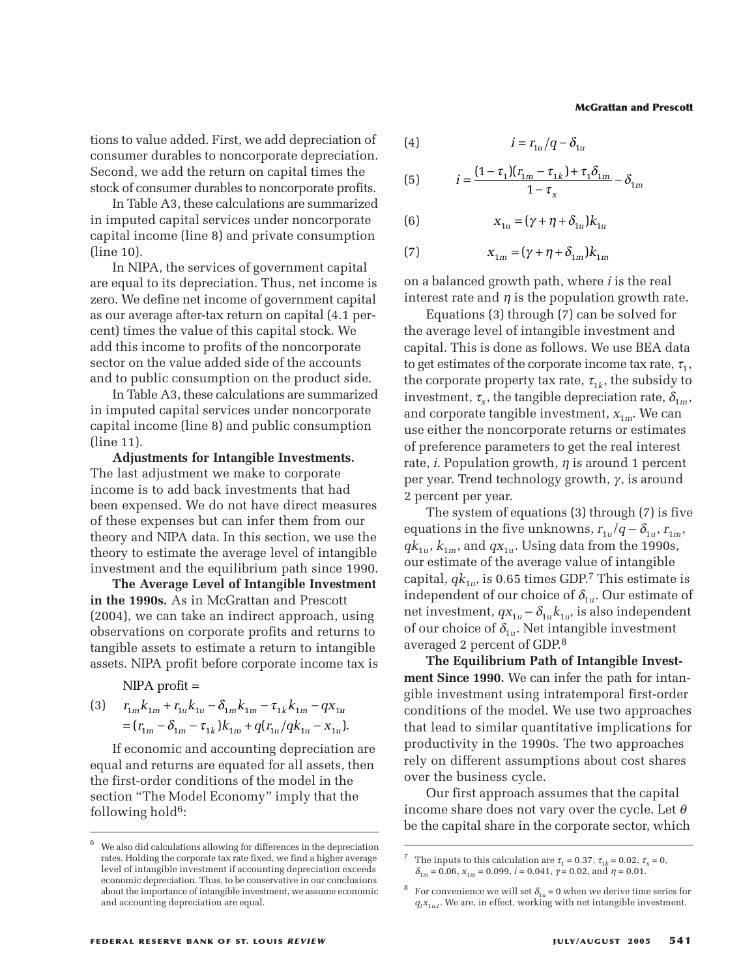tions to value added. First, we add depreciation of consumer durables to noncorporate depreciation. Second, we add the return on capital times the stock of consumer durables to noncorporate profits.

In Table A3, these calculations are summarized in imputed capital services under noncorporate capital income (line 8) and private consumption (line 10).

In NIPA, the services of government capital are equal to its depreciation. Thus, net income is zero. We define net income of government capital as our average after-tax return on capital (4.1 percent) times the value of this capital stock. We add this income to profits of the noncorporate sector on the value added side of the accounts and to public consumption on the product side.

In Table A3, these calculations are summarized in imputed capital services under noncorporate capital income (line 8) and public consumption (line 11).

**Adjustments for Intangible Investments.** The last adjustment we make to corporate income is to add back investments that had been expensed. We do not have direct measures of these expenses but can infer them from our theory and NIPA data. In this section, we use the theory to estimate the average level of intangible investment and the equilibrium path since 1990.

**The Average Level of Intangible Investment in the 1990s.** As in McGrattan and Prescott (2004), we can take an indirect approach, using observations on corporate profits and returns to tangible assets to estimate a return to intangible assets. NIPA profit before corporate income tax is *re* is to add back investments that hadex<br>expensed. We do not have direct mea<br>se expenses but can infer them from<br>y and NIPA data. In this section, we us<br>y to estimate the average level of intar<br>tment and the equilibrium expensed. We do not have direct measse expenses but can infer them from c<br>*y* and NIPA data. In this section, we use<br>*y* to estimate the average level of intan<sub>i</sub><br>tment and the equilibrium path since 1<br>**he Average Level o** 

 $NIPA$  profit  $=$ 

(3) 
$$
r_{1m}k_{1m} + r_{1u}k_{1u} - \delta_{1m}k_{1m} - \tau_{1k}k_{1m} - qx_{1u}
$$

$$
= (r_{1m} - \delta_{1m} - \tau_{1k})k_{1m} + q(r_{1u}/qk_{1u} - x_{1u}).
$$

If economic and accounting depreciation are equal and returns are equated for all assets, then the first-order conditions of the model in the section "The Model Economy" imply that the following hold<sup>6</sup>:

(4) *irq u u* = − 1 1 δ

(4)

\n
$$
i = r_{1u}/q - \delta_{1u}
$$
\n(5)

\n
$$
i = \frac{(1 - \tau_1)(r_{1m} - \tau_{1k}) + \tau_1 \delta_{1m}}{1 - \tau_x} - \delta_{1m}
$$
\n(6)

\n
$$
x_{1u} = (\gamma + \eta + \delta_{1u})k_{1u}
$$
\n(7)

\n
$$
x_{1m} = (\gamma + \eta + \delta_{1m})k_{1m}
$$
\nand therefore, if the equation is the equation of the equation.

(6) 
$$
X_{1u} = (\gamma + \eta + \delta_{1u})k_{1u}
$$

(7) 
$$
x_{1m} = (\gamma + \eta + \delta_{1m})k_{1m}
$$

on a balanced growth path, where *i* is the real interest rate and  $\eta$  is the population growth rate.

Equations (3) through (7) can be solved for the average level of intangible investment and capital. This is done as follows. We use BEA data to get estimates of the corporate income tax rate,  $\tau_1$ , the corporate property tax rate,  $\tau_{1k}$ , the subsidy to investment,  $\tau_{\rm x}$ , the tangible depreciation rate,  $\delta_{\rm 1m}$ , and corporate tangible investment,  $x_{1m}$ . We can use either the noncorporate returns or estimates of preference parameters to get the real interest rate, *i*. Population growth,  $\eta$  is around 1 percent per year. Trend technology growth,  $\gamma$ , is around 2 percent per year.

The system of equations (3) through (7) is five equations in the five unknowns,  $r_{1u}/q - \delta_{1u}$ ,  $r_{1m}$ ,  $qk_{1u}$ ,  $k_{1m}$ , and  $qx_{1u}$ . Using data from the 1990s, our estimate of the average value of intangible capital,  $qk_{1u}$ , is 0.65 times GDP.<sup>7</sup> This estimate is independent of our choice of  $\delta_{1u}$ . Our estimate of net investment,  $qx_{1u} - \delta_{1u} k_{1u}$ , is also independent of our choice of  $\delta_{1u}$ . Net intangible investment averaged 2 percent of GDP. 8

**The Equilibrium Path of Intangible Investment Since 1990.** We can infer the path for intangible investment using intratemporal first-order conditions of the model. We use two approaches that lead to similar quantitative implications for productivity in the 1990s. The two approaches rely on different assumptions about cost shares over the business cycle.

Our first approach assumes that the capital income share does not vary over the cycle. Let  $\theta$ be the capital share in the corporate sector, which

<sup>6</sup> We also did calculations allowing for differences in the depreciation rates. Holding the corporate tax rate fixed, we find a higher average level of intangible investment if accounting depreciation exceeds economic depreciation. Thus, to be conservative in our conclusions about the importance of intangible investment, we assume economic and accounting depreciation are equal.

The inputs to this calculation are  $\tau_1 = 0.37$ ,  $\tau_{1k} = 0.02$ ,  $\tau_x = 0$ ,  $\delta_{1m} = 0.06$ ,  $x_{1m} = 0.099$ ,  $i = 0.041$ ,  $\gamma = 0.02$ , and  $\eta = 0.01$ .

<sup>&</sup>lt;sup>8</sup> For convenience we will set  $\delta_{1*u*}$  = 0 when we derive time series for  $q_t x_{1u,t}$ . We are, in effect, working with net intangible investment.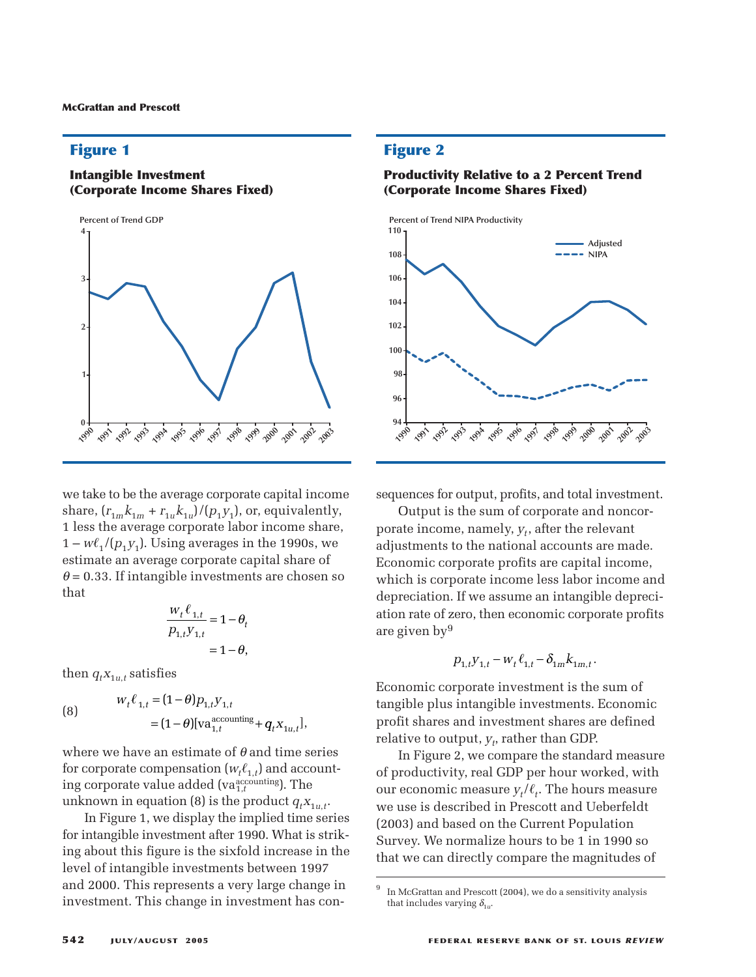## **Figure 1**

#### **Intangible Investment (Corporate Income Shares Fixed)**



we take to be the average corporate capital income share,  $(r_{1m}k_{1m} + r_{1u}k_{1u})/(p_1y_1)$  , or, equivalently, 1 less the average corporate labor income share,  $1 - w\ell_1/(p_1y_1)$ . Using averages in the 1990s, we estimate an average corporate capital share of  $\theta = 0.33$ . If intangible investments are chosen s that  $w_t \ell_{1,t} = 0$ estimate an average corporate capital share of<br>  $\theta = 0.33$ . If intangible investments are chosen s<br>
that<br>  $\frac{w_t \ell_{1,t}}{p_{1,t} V_{1,t}} = 1 - \theta_t$  $\theta$  = 0.33. If intangible investments are chosen so that *w* average corporate l<br>  $p_1y_1$ ). Using average<br>
an average corporate<br>
If intangible investn<br>
If intangible investn<br>  $\frac{w_t \ell_{1,t}}{p_{1,t} y_{1,t}} = 1$ <br>  $= 1$ <br>  $w_t \ell_{1,t} = (1 - \theta) p_{1,t} y_{1,t}$ verage corporate<br>  $V_1$ ). Using average<br>
average corporate<br>
mangible invest<br>  $\frac{W_t \ell_{1,t}}{P_{1,t} y_{1,t}} = 1$ <br>
satisfies<br>  $\ell_{1,t} = (1 - \theta) p_{1,t} y_1$ . Using average<br>
. Using average<br>
verage corporat<br>
angible invest<br>  $\frac{w_t \ell_{1,t}}{p_{1,t} y_{1,t}} = 1$ <br>
tisfies<br>  $\frac{1}{z} = (1 - \theta) p_{1,t} y_{1,t}$  $e$  corp<br>sing a<br>ge con<br>gible i:<br> $\frac{w_t \ell_1}{p_{1,t} y}$ <br>ies<br> $(1-\theta)$  $\begin{aligned} &\frac{w_t \ell_{1,t}}{p_{1,t} y_{1,t}} \\ &\frac{w_t \ell_{1,t}}{p_{1,t} y_{1,t}} \\ &\text{ies} \\ &\frac{(1-\theta) p_{1,t}}{p_{1,t} y_{1,t}} \end{aligned}$ rage<br>
ngible<br>  $\frac{w_t}{p_{1,t}}$ <br>
sfies<br>
=  $(1 -$ <br>
=  $(1$ corporate capital shape<br>
e investments are ch<br>  $e^{i\theta}$ <br>  $e^{i\theta}$ <br>  $e^{i\theta}$ <br>  $e^{i\theta}$ <br>  $e^{i\theta}$ <br>  $e^{i\theta}$ <br>  $e^{i\theta}$ <br>  $e^{i\theta}$ <br>  $e^{i\theta}$ <br>  $e^{i\theta}$ <br>  $e^{i\theta}$ <br>  $e^{i\theta}$ <br>  $e^{i\theta}$ <br>  $e^{i\theta}$ <br>  $i\theta$ <br>  $i\theta$ <br>  $i\theta$ <br>  $i\theta$ <br>  $i\theta$ <br>  $e$  corporate<br>  $e$  investm<br>  $\frac{V_t \ell_{1,t}}{V_{1,t} V_{1,t}} = 1 -$ 

$$
\frac{w_t \ell_{1,t}}{P_{1,t} y_{1,t}} = 1 - \theta_t
$$
  
= 1 - \theta,

then  $q_t x_{1u,t}$  satisfies

that  
\n
$$
\frac{w_t \ell_{1,t}}{p_{1,t} y_{1,t}} = 1 - \theta_t
$$
\nthen  $q_t x_{1u,t}$  satisfies  
\n
$$
w_t \ell_{1,t} = (1 - \theta) p_{1,t} y_{1,t}
$$
\n
$$
= (1 - \theta) [\text{va}_{1,t}^{\text{accounting}} + q_t x_{1u,t}],
$$
\nwhere we have an estimate of  $\theta$  and time s

where we have an estimate of  $\theta$  and time series for corporate compensation  $(w_t \ell_{1,t})$  and accounting corporate value added (va<sup>accounting</sup>). The unknown in equation (8) is the product  $q_t x_{1u,t}$ .

In Figure 1, we display the implied time series for intangible investment after 1990. What is striking about this figure is the sixfold increase in the level of intangible investments between 1997 and 2000. This represents a very large change in investment. This change in investment has con-

#### **Figure 2**

#### **Productivity Relative to a 2 Percent Trend (Corporate Income Shares Fixed)**



sequences for output, profits, and total investment.

Output is the sum of corporate and noncorporate income, namely,  $y_t$ , after the relevant adjustments to the national accounts are made. Economic corporate profits are capital income, which is corporate income less labor income and depreciation. If we assume an intangible depreciation rate of zero, then economic corporate profits are given by9 *e*, namely,  $y_t$ , after the r<br>to the national accounts<br>rporate profits are capit<br>porate income less labor<br>If we assume an intang<br>ero, then economic corp<br> $p_{1,t}y_{1,t} - w_t \ell_{1,t} - \delta_{1m} k_{1m,t}$ <br>rporate investment is th

$$
p_{1,t}y_{1,t} - w_t \ell_{1,t} - \delta_{1m} k_{1m,t}
$$

.

Economic corporate investment is the sum of tangible plus intangible investments. Economic profit shares and investment shares are defined  $relative$  to output,  $y_t$ , rather than GDP.

In Figure 2, we compare the standard measure of productivity, real GDP per hour worked, with our economic measure  $y_t/\ell_t$ . The hours measure we use is described in Prescott and Ueberfeldt (2003) and based on the Current Population Survey. We normalize hours to be 1 in 1990 so that we can directly compare the magnitudes of

 $9\;$  In McGrattan and Prescott (2004), we do a sensitivity analysis that includes varying  $\delta_{1u}$ .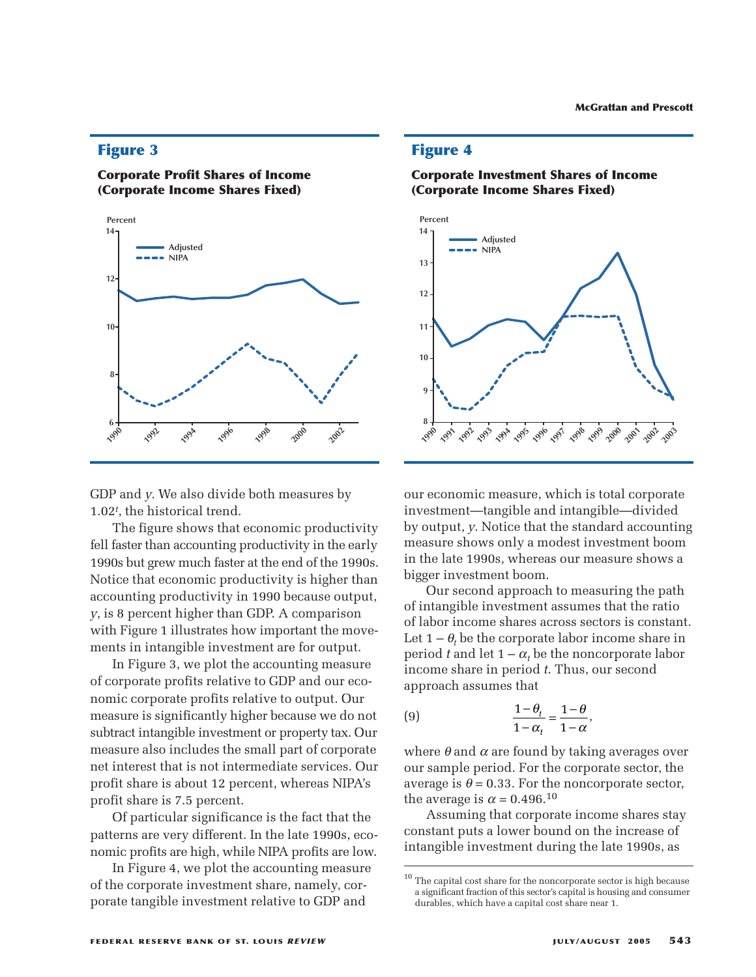#### **Figure 3**

#### **Corporate Profit Shares of Income (Corporate Income Shares Fixed)**



GDP and *y*. We also divide both measures by 1.02*<sup>t</sup>* , the historical trend.

The figure shows that economic productivity fell faster than accounting productivity in the early 1990s but grew much faster at the end of the 1990s. Notice that economic productivity is higher than accounting productivity in 1990 because output, *y*, is 8 percent higher than GDP. A comparison with Figure 1 illustrates how important the movements in intangible investment are for output.

In Figure 3, we plot the accounting measure of corporate profits relative to GDP and our economic corporate profits relative to output. Our measure is significantly higher because we do not subtract intangible investment or property tax. Our measure also includes the small part of corporate net interest that is not intermediate services. Our profit share is about 12 percent, whereas NIPA's profit share is 7.5 percent.

Of particular significance is the fact that the patterns are very different. In the late 1990s, economic profits are high, while NIPA profits are low.

In Figure 4, we plot the accounting measure of the corporate investment share, namely, corporate tangible investment relative to GDP and

#### **Figure 4**





our economic measure, which is total corporate investment—tangible and intangible—divided by output, *y*. Notice that the standard accounting measure shows only a modest investment boom in the late 1990s, whereas our measure shows a bigger investment boom.

Our second approach to measuring the path of intangible investment assumes that the ratio of labor income shares across sectors is constant. Let  $1 - \theta$ , be the corporate labor income share in period *t* and let  $1 - \alpha_t$  be the noncorporate labor income share in period *t*. Thus, our second approach assumes that

(9) 
$$
\frac{1-\theta_t}{1-\alpha_t} = \frac{1-\theta}{1-\alpha},
$$

where  $\theta$  and  $\alpha$  are found by taking averages over our sample period. For the corporate sector, the average is  $\theta$  = 0.33. For the noncorporate sector, the average is  $\alpha = 0.496$ <sup>10</sup>

Assuming that corporate income shares stay constant puts a lower bound on the increase of intangible investment during the late 1990s, as

 $^{\rm 10}$  The capital cost share for the noncorporate sector is high because a significant fraction of this sector's capital is housing and consumer durables, which have a capital cost share near 1.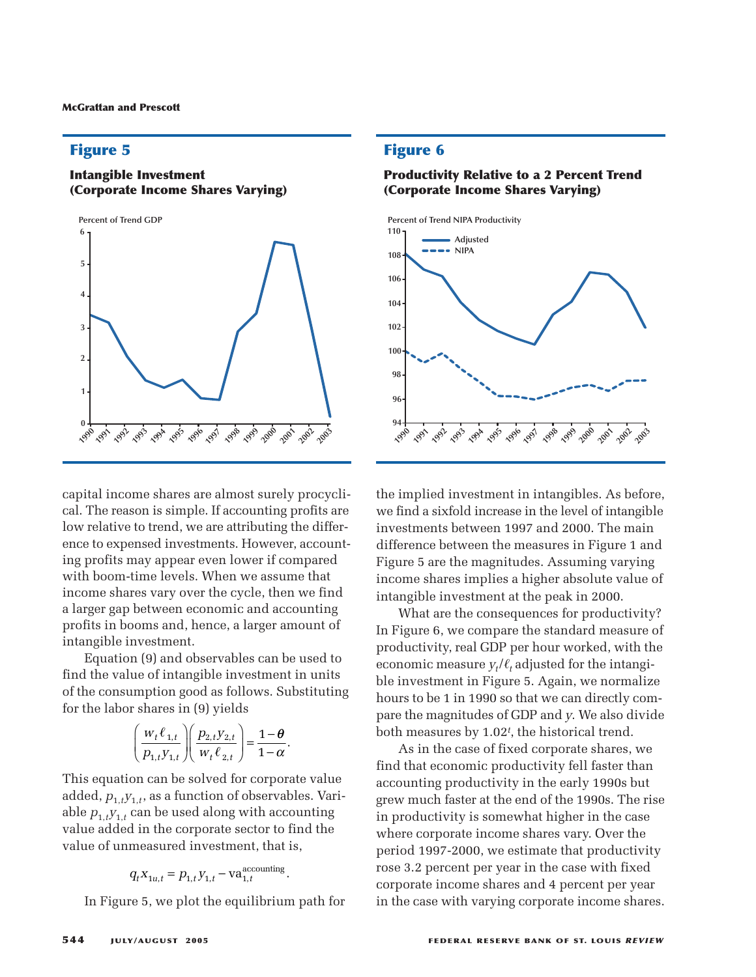# **Figure 5**

#### **Intangible Investment (Corporate Income Shares Varying)**



capital income shares are almost surely procyclical. The reason is simple. If accounting profits are low relative to trend, we are attributing the difference to expensed investments. However, accounting profits may appear even lower if compared with boom-time levels. When we assume that income shares vary over the cycle, then we find a larger gap between economic and accounting profits in booms and, hence, a larger amount of intangible investment. *p y*

Equation (9) and observables can be used to find the value of intangible investment in units of the consumption good as follows. Substituting for the labor shares in (9) yields ptwe<br>ms a<br>(9) an<br>*p* i of inptio<br>hare<br> $\frac{w_t \ell}{p_{1:t} y}$  $\begin{aligned} &\text{y}_\text{0} \text{r}_\text{0} \text{r}_\text{0} \text{r}_\text{1} \text{r}_\text{1} \text{r}_\text{1} \text{r}_\text{2} \text{r}_\text{2} \text{r}_\text{3} \text{r}_\text{4} \text{r}_\text{5} \text{r}_\text{6} \text{r}_\text{7} \text{r}_\text{8} \text{r}_\text{9} \text{r}_\text{1} \text{r}_\text{1} \text{r}_\text{1} \text{r}_\text{2} \text{r}_\text{3} \text{r}_\text{4} \text{r$  $t$  and<br>*t* me and<br>*f* int<br>*t* ion<br>*res*<br> $\frac{\ell_{1,t}}{\ell_{1,t}}$ the commist<br>ce, and the internet<br>property of the set of the set of the set of the set of the set of the set of the set of the set of the set of<br> $t$   $y_{2,t}$   $t$ rom<br>**nce,**<br>arval<br>le in<br>as f(<br>yiel,<br> $\frac{t}{t}$ ,  $\ell_{2,t}$ wee<br>is an<br>stm)) an<br>of in<br>otion<br>ares the<br>non<br>nce,<br>erva<br>ble i<br>l as f<br>) yie<br>2,ty2  $\alpha$ ee s an $\sin \alpha$ ) an $\operatorname{f\,in}$  intion $\operatorname{arcs}$ es vary over the<br>between econom<br>oms and, hence,<br>westment.<br>1 (9) and observa<br>ne of intangible is<br>mption good as f<br>shares in (9) yie<br> $\left(\begin{array}{c}w_t\ell_{1,t}\end{array}\right)\left(\begin{array}{c}p_{2,t}y_{2,t}\end{array}\right)$ 

$$
\left(\frac{w_t \ell_{1,t}}{p_{1,t} y_{1,t}}\right) \left(\frac{p_{2,t} y_{2,t}}{w_t \ell_{2,t}}\right) = \frac{1-\theta}{1-\alpha}.
$$

This equation can be solved for corporate value added,  $p_{1,t}y_{1,t}$ , as a function of observables. Variable  $p_{1,t}y_{1,t}$  can be used along with accounting value added in the corporate sector to find the value of unmeasured investment, that is,  $\left(\frac{w_t \ell_{1,t}}{p_{1,t} y_{1,t}}\right) \left(\frac{p_{2,t} y_{2,t}}{w_t \ell_{2,t}}\right) =$ <br>on can be solved for  $a_{1,t}$ , as a function of ob<br>can be used along wid in the corporate sec<br>measured investmen<br> $q_t x_{1u,t} = p_{1,t} y_{1,t} - v a_{1,t}^{ac}$ 

$$
q_t X_{1u,t} = p_{1,t} y_{1,t} - v a_{1,t}^{\text{accounting}}
$$

In Figure 5, we plot the equilibrium path for

.

#### **Figure 6**

#### **Productivity Relative to a 2 Percent Trend (Corporate Income Shares Varying)**



the implied investment in intangibles. As before, we find a sixfold increase in the level of intangible investments between 1997 and 2000. The main difference between the measures in Figure 1 and Figure 5 are the magnitudes. Assuming varying income shares implies a higher absolute value of intangible investment at the peak in 2000.

What are the consequences for productivity? In Figure 6, we compare the standard measure of productivity, real GDP per hour worked, with the economic measure  $y_t/\ell_t$  adjusted for the intangible investment in Figure 5. Again, we normalize hours to be 1 in 1990 so that we can directly compare the magnitudes of GDP and *y*. We also divide both measures by 1.02*<sup>t</sup>* , the historical trend.

As in the case of fixed corporate shares, we find that economic productivity fell faster than accounting productivity in the early 1990s but grew much faster at the end of the 1990s. The rise in productivity is somewhat higher in the case where corporate income shares vary. Over the period 1997-2000, we estimate that productivity rose 3.2 percent per year in the case with fixed corporate income shares and 4 percent per year in the case with varying corporate income shares.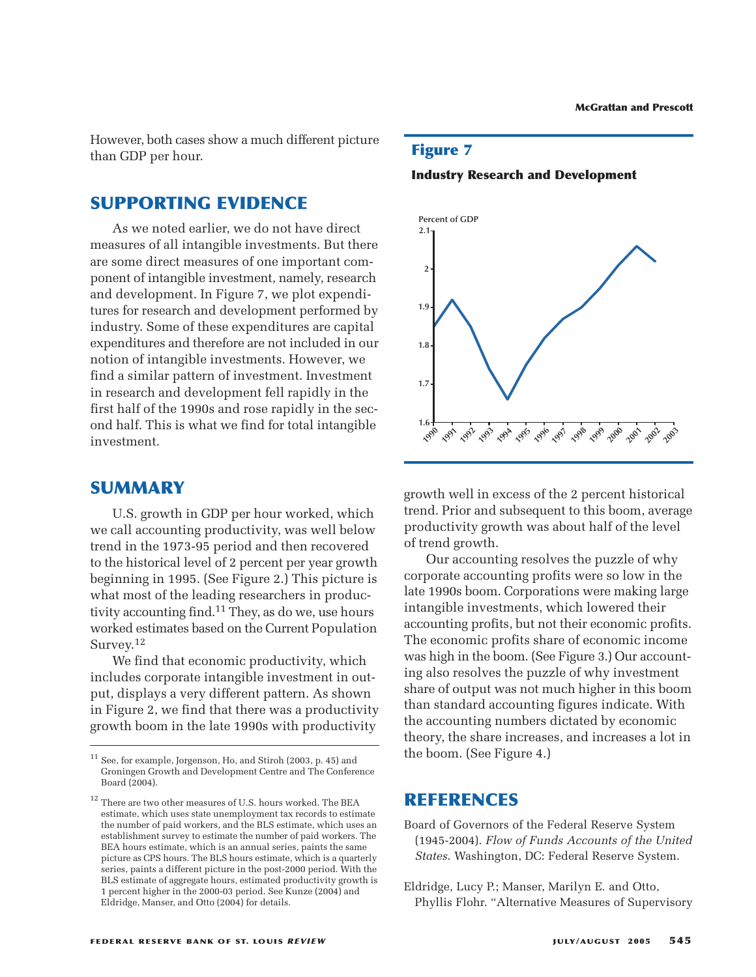However, both cases show a much different picture than GDP per hour.

# **SUPPORTING EVIDENCE**

As we noted earlier, we do not have direct measures of all intangible investments. But there are some direct measures of one important component of intangible investment, namely, research and development. In Figure 7, we plot expenditures for research and development performed by industry. Some of these expenditures are capital expenditures and therefore are not included in our notion of intangible investments. However, we find a similar pattern of investment. Investment in research and development fell rapidly in the first half of the 1990s and rose rapidly in the second half. This is what we find for total intangible investment.

## **SUMMARY**

U.S. growth in GDP per hour worked, which we call accounting productivity, was well below trend in the 1973-95 period and then recovered to the historical level of 2 percent per year growth beginning in 1995. (See Figure 2.) This picture is what most of the leading researchers in productivity accounting find.11 They, as do we, use hours worked estimates based on the Current Population Survey.<sup>12</sup>

We find that economic productivity, which includes corporate intangible investment in output, displays a very different pattern. As shown in Figure 2, we find that there was a productivity growth boom in the late 1990s with productivity

#### **Figure 7**





growth well in excess of the 2 percent historical trend. Prior and subsequent to this boom, average productivity growth was about half of the level of trend growth.

Our accounting resolves the puzzle of why corporate accounting profits were so low in the late 1990s boom. Corporations were making large intangible investments, which lowered their accounting profits, but not their economic profits. The economic profits share of economic income was high in the boom. (See Figure 3.) Our accounting also resolves the puzzle of why investment share of output was not much higher in this boom than standard accounting figures indicate. With the accounting numbers dictated by economic theory, the share increases, and increases a lot in the boom. (See Figure 4.)

## **REFERENCES**

- Board of Governors of the Federal Reserve System (1945-2004). *Flow of Funds Accounts of the United States*. Washington, DC: Federal Reserve System.
- Eldridge, Lucy P.; Manser, Marilyn E. and Otto, Phyllis Flohr. "Alternative Measures of Supervisory

 $^{11}$  See, for example, Jorgenson, Ho, and Stiroh (2003, p. 45) and Groningen Growth and Development Centre and The Conference Board (2004).

<sup>&</sup>lt;sup>12</sup> There are two other measures of U.S. hours worked. The BEA estimate, which uses state unemployment tax records to estimate the number of paid workers, and the BLS estimate, which uses an establishment survey to estimate the number of paid workers. The BEA hours estimate, which is an annual series, paints the same picture as CPS hours. The BLS hours estimate, which is a quarterly series, paints a different picture in the post-2000 period. With the BLS estimate of aggregate hours, estimated productivity growth is 1 percent higher in the 2000-03 period. See Kunze (2004) and Eldridge, Manser, and Otto (2004) for details.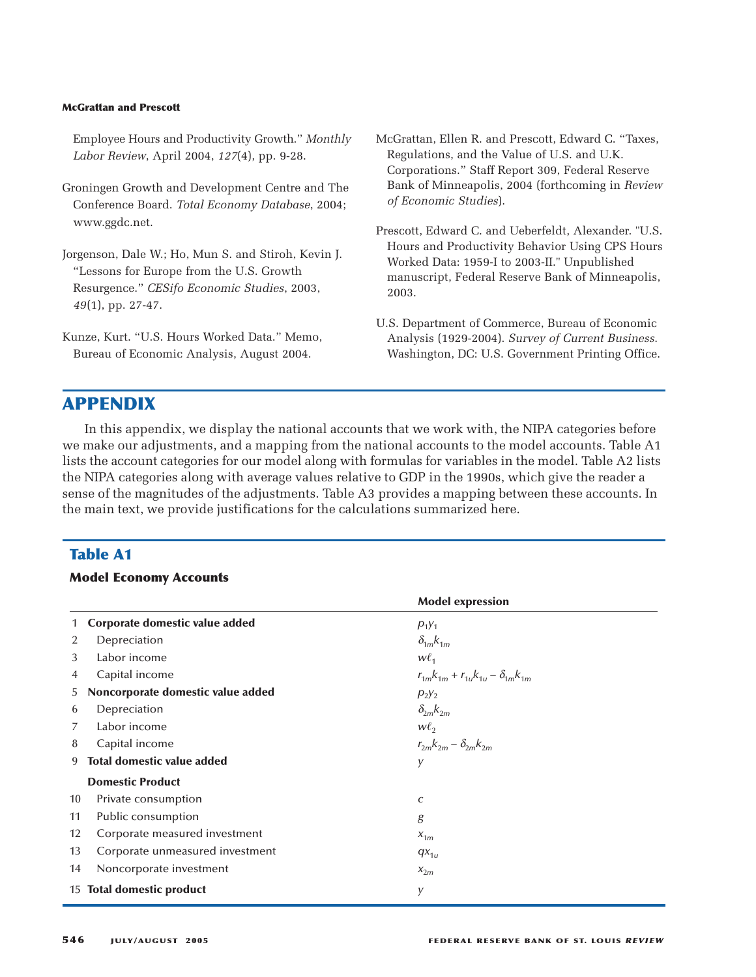Employee Hours and Productivity Growth." *Monthly Labor Review*, April 2004, *127*(4), pp. 9-28.

- Groningen Growth and Development Centre and The Conference Board. *Total Economy Database*, 2004; www.ggdc.net.
- Jorgenson, Dale W.; Ho, Mun S. and Stiroh, Kevin J. "Lessons for Europe from the U.S. Growth Resurgence." *CESifo Economic Studies*, 2003, *49*(1), pp. 27-47.

Kunze, Kurt. "U.S. Hours Worked Data." Memo, Bureau of Economic Analysis, August 2004.

- McGrattan, Ellen R. and Prescott, Edward C. "Taxes, Regulations, and the Value of U.S. and U.K. Corporations." Staff Report 309, Federal Reserve Bank of Minneapolis, 2004 (forthcoming in *Review of Economic Studies*).
- Prescott, Edward C. and Ueberfeldt, Alexander. "U.S. Hours and Productivity Behavior Using CPS Hours Worked Data: 1959-I to 2003-II." Unpublished manuscript, Federal Reserve Bank of Minneapolis, 2003.
- U.S. Department of Commerce, Bureau of Economic Analysis (1929-2004). *Survey of Current Business*. Washington, DC: U.S. Government Printing Office.

# **APPENDIX**

In this appendix, we display the national accounts that we work with, the NIPA categories before we make our adjustments, and a mapping from the national accounts to the model accounts. Table A1 lists the account categories for our model along with formulas for variables in the model. Table A2 lists the NIPA categories along with average values relative to GDP in the 1990s, which give the reader a sense of the magnitudes of the adjustments. Table A3 provides a mapping between these accounts. In the main text, we provide justifications for the calculations summarized here.

#### **Table A1**

#### **Model Economy Accounts**

|    |                                   | <b>Model expression</b>                           |  |
|----|-----------------------------------|---------------------------------------------------|--|
|    | Corporate domestic value added    | $P_1Y_1$                                          |  |
| 2  | Depreciation                      | $\delta_{1m} k_{1m}$                              |  |
| 3  | Labor income                      | $W\ell_{1}$                                       |  |
| 4  | Capital income                    | $r_{1m}k_{1m} + r_{1u}k_{1u} - \delta_{1m}k_{1m}$ |  |
| 5. | Noncorporate domestic value added | $P_2Y_2$                                          |  |
| 6  | Depreciation                      | $\delta_{2m} k_{2m}$                              |  |
| 7  | Labor income                      | $W\ell_{2}$                                       |  |
| 8  | Capital income                    | $r_{2m}k_{2m}-\delta_{2m}k_{2m}$                  |  |
| 9  | <b>Total domestic value added</b> | y                                                 |  |
|    | <b>Domestic Product</b>           |                                                   |  |
| 10 | Private consumption               | C                                                 |  |
| 11 | Public consumption                | g                                                 |  |
| 12 | Corporate measured investment     | $X_{1m}$                                          |  |
| 13 | Corporate unmeasured investment   | $qx_{1u}$                                         |  |
| 14 | Noncorporate investment           | $x_{2m}$                                          |  |
|    | 15 Total domestic product         | y                                                 |  |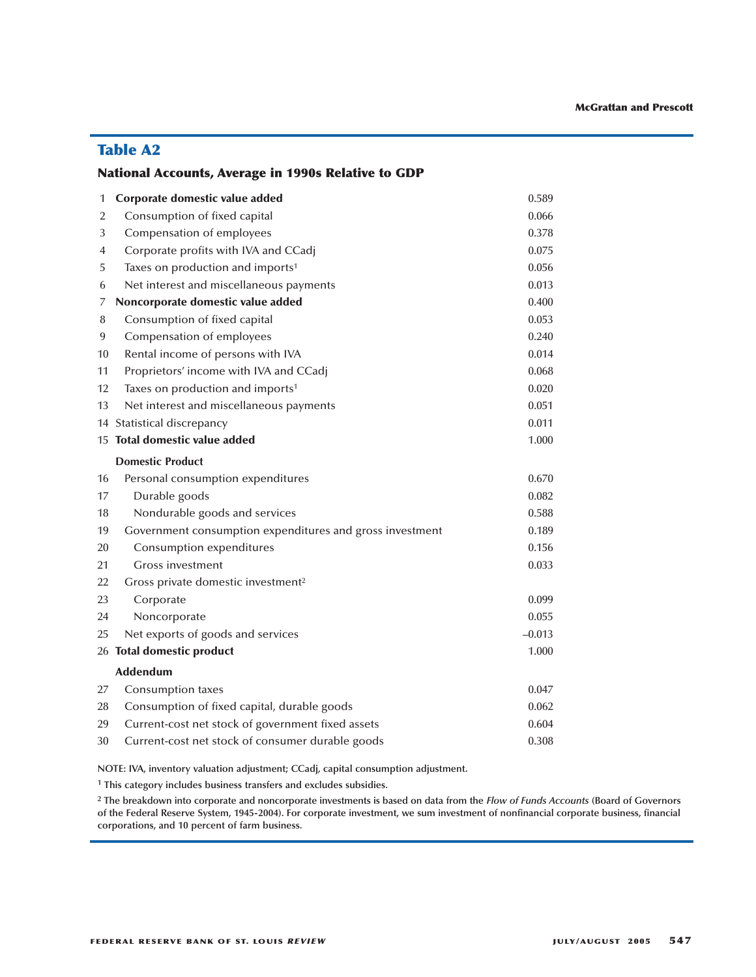# **Table A2**

## **National Accounts, Average in 1990s Relative to GDP**

| 1  | Corporate domestic value added                           | 0.589    |
|----|----------------------------------------------------------|----------|
| 2  | Consumption of fixed capital                             | 0.066    |
| 3  | Compensation of employees                                | 0.378    |
| 4  | Corporate profits with IVA and CCadj                     | 0.075    |
| 5  | Taxes on production and imports <sup>1</sup>             | 0.056    |
| 6  | Net interest and miscellaneous payments                  | 0.013    |
| 7  | Noncorporate domestic value added                        | 0.400    |
| 8  | Consumption of fixed capital                             | 0.053    |
| 9  | Compensation of employees                                | 0.240    |
| 10 | Rental income of persons with IVA                        | 0.014    |
| 11 | Proprietors' income with IVA and CCadj                   | 0.068    |
| 12 | Taxes on production and imports <sup>1</sup>             | 0.020    |
| 13 | Net interest and miscellaneous payments                  | 0.051    |
|    | 14 Statistical discrepancy                               | 0.011    |
|    | 15 Total domestic value added                            | 1.000    |
|    | <b>Domestic Product</b>                                  |          |
| 16 | Personal consumption expenditures                        | 0.670    |
| 17 | Durable goods                                            | 0.082    |
| 18 | Nondurable goods and services                            | 0.588    |
| 19 | Government consumption expenditures and gross investment | 0.189    |
| 20 | Consumption expenditures                                 | 0.156    |
| 21 | <b>Gross investment</b>                                  | 0.033    |
| 22 | Gross private domestic investment <sup>2</sup>           |          |
| 23 | Corporate                                                | 0.099    |
| 24 | Noncorporate                                             | 0.055    |
| 25 | Net exports of goods and services                        | $-0.013$ |
|    | 26 Total domestic product                                | 1.000    |
|    | <b>Addendum</b>                                          |          |
| 27 | Consumption taxes                                        | 0.047    |
| 28 | Consumption of fixed capital, durable goods              | 0.062    |
| 29 | Current-cost net stock of government fixed assets        | 0.604    |
| 30 | Current-cost net stock of consumer durable goods         | 0.308    |

**NOTE: IVA, inventory valuation adjustment; CCadj, capital consumption adjustment.**

**<sup>1</sup> This category includes business transfers and excludes subsidies.**

**<sup>2</sup> The breakdown into corporate and noncorporate investments is based on data from the** *Flow of Funds Accounts* **(Board of Governors of the Federal Reserve System, 1945-2004). For corporate investment, we sum investment of nonfinancial corporate business, financial corporations, and 10 percent of farm business.**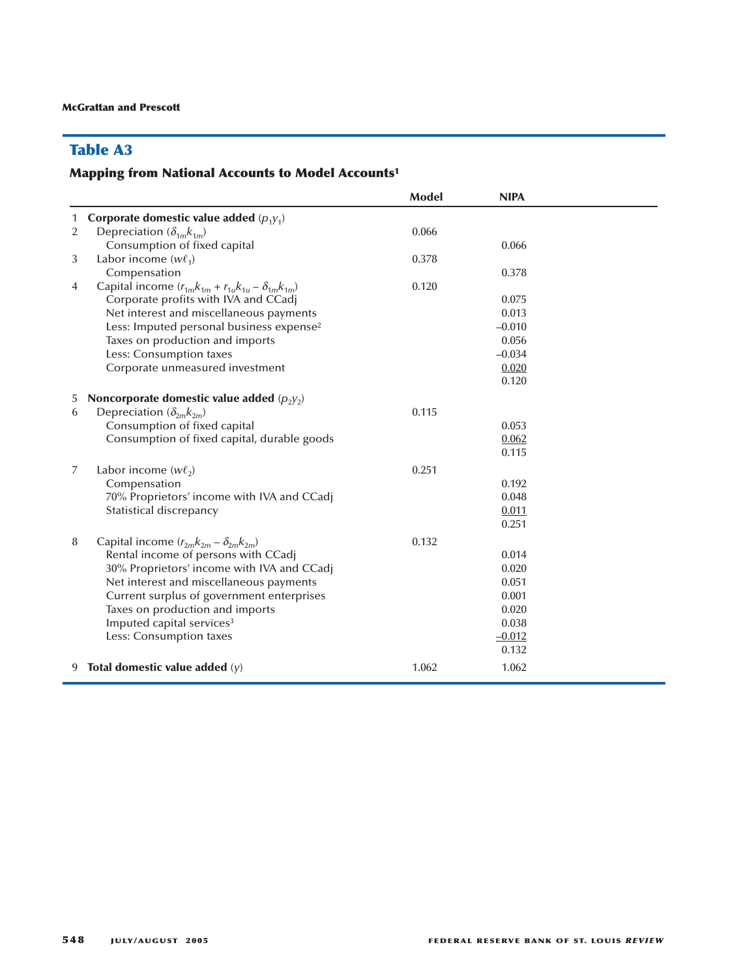# **Table A3**

# **Mapping from National Accounts to Model Accounts1**

|                |                                                                    | <b>Model</b> | <b>NIPA</b> |  |
|----------------|--------------------------------------------------------------------|--------------|-------------|--|
| 1              | Corporate domestic value added $(p_1y_1)$                          |              |             |  |
| $\overline{2}$ | Depreciation $(\delta_{1m} k_{1m})$                                | 0.066        |             |  |
|                | Consumption of fixed capital                                       |              | 0.066       |  |
| 3              | Labor income $(w\ell_1)$                                           | 0.378        |             |  |
|                | Compensation                                                       |              | 0.378       |  |
| 4              | Capital income $(r_{1m}k_{1m} + r_{1u}k_{1u} - \delta_{1m}k_{1m})$ | 0.120        |             |  |
|                | Corporate profits with IVA and CCadj                               |              | 0.075       |  |
|                | Net interest and miscellaneous payments                            |              | 0.013       |  |
|                | Less: Imputed personal business expense <sup>2</sup>               |              | $-0.010$    |  |
|                | Taxes on production and imports                                    |              | 0.056       |  |
|                | Less: Consumption taxes                                            |              | $-0.034$    |  |
|                | Corporate unmeasured investment                                    |              | 0.020       |  |
|                |                                                                    |              | 0.120       |  |
| 5              | Noncorporate domestic value added $(p_2y_2)$                       |              |             |  |
| 6              | Depreciation $(\delta_{2m}k_{2m})$                                 | 0.115        |             |  |
|                | Consumption of fixed capital                                       |              | 0.053       |  |
|                | Consumption of fixed capital, durable goods                        |              | 0.062       |  |
|                |                                                                    |              | 0.115       |  |
| 7              | Labor income $(w\ell_2)$                                           | 0.251        |             |  |
|                | Compensation                                                       |              | 0.192       |  |
|                | 70% Proprietors' income with IVA and CCadj                         |              | 0.048       |  |
|                | Statistical discrepancy                                            |              | 0.011       |  |
|                |                                                                    |              | 0.251       |  |
| 8              | Capital income $(r_{2m}k_{2m} - \delta_{2m}k_{2m})$                | 0.132        |             |  |
|                | Rental income of persons with CCadj                                |              | 0.014       |  |
|                | 30% Proprietors' income with IVA and CCadj                         |              | 0.020       |  |
|                | Net interest and miscellaneous payments                            |              | 0.051       |  |
|                | Current surplus of government enterprises                          |              | 0.001       |  |
|                | Taxes on production and imports                                    |              | 0.020       |  |
|                | Imputed capital services <sup>3</sup>                              |              | 0.038       |  |
|                | Less: Consumption taxes                                            |              | $-0.012$    |  |
|                |                                                                    |              | 0.132       |  |
| 9.             | Total domestic value added $(y)$                                   | 1.062        | 1.062       |  |